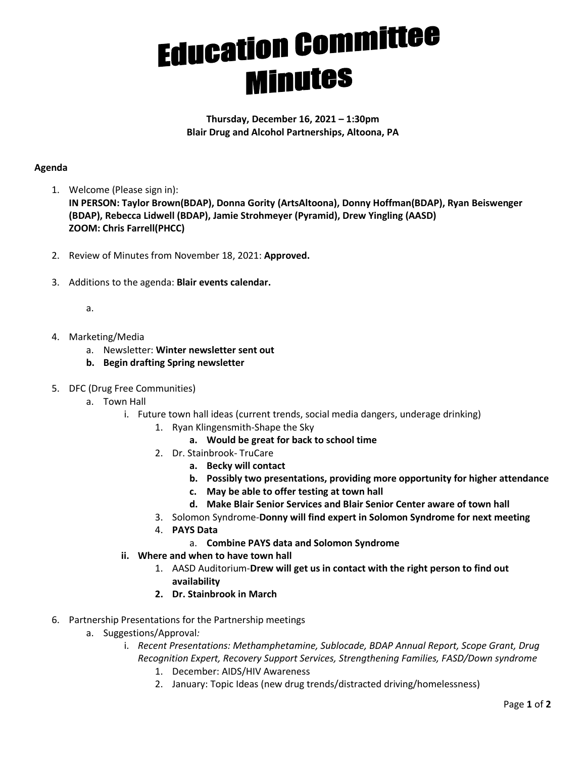## **Education Committee Minutes**

**Thursday, December 16, 2021 – 1:30pm Blair Drug and Alcohol Partnerships, Altoona, PA**

## **Agenda**

- 1. Welcome (Please sign in): **IN PERSON: Taylor Brown(BDAP), Donna Gority (ArtsAltoona), Donny Hoffman(BDAP), Ryan Beiswenger (BDAP), Rebecca Lidwell (BDAP), Jamie Strohmeyer (Pyramid), Drew Yingling (AASD) ZOOM: Chris Farrell(PHCC)**
- 2. Review of Minutes from November 18, 2021: **Approved.**
- 3. Additions to the agenda: **Blair events calendar.**
	- a.
- 4. Marketing/Media
	- a. Newsletter: **Winter newsletter sent out**
	- **b. Begin drafting Spring newsletter**
- 5. DFC (Drug Free Communities)
	- a. Town Hall
		- i. Future town hall ideas (current trends, social media dangers, underage drinking)
			- 1. Ryan Klingensmith-Shape the Sky
				- **a. Would be great for back to school time**
			- 2. Dr. Stainbrook- TruCare
				- **a. Becky will contact**
				- **b. Possibly two presentations, providing more opportunity for higher attendance**
				- **c. May be able to offer testing at town hall**
				- **d. Make Blair Senior Services and Blair Senior Center aware of town hall**
			- 3. Solomon Syndrome-**Donny will find expert in Solomon Syndrome for next meeting**
			- 4. **PAYS Data**
				- a. **Combine PAYS data and Solomon Syndrome**
		- **ii. Where and when to have town hall**
			- 1. AASD Auditorium-**Drew will get us in contact with the right person to find out availability**
			- **2. Dr. Stainbrook in March**
- 6. Partnership Presentations for the Partnership meetings
	- a. Suggestions/Approval*:*
		- i. *Recent Presentations: Methamphetamine, Sublocade, BDAP Annual Report, Scope Grant, Drug Recognition Expert, Recovery Support Services, Strengthening Families, FASD/Down syndrome*
			- 1. December: AIDS/HIV Awareness
			- 2. January: Topic Ideas (new drug trends/distracted driving/homelessness)